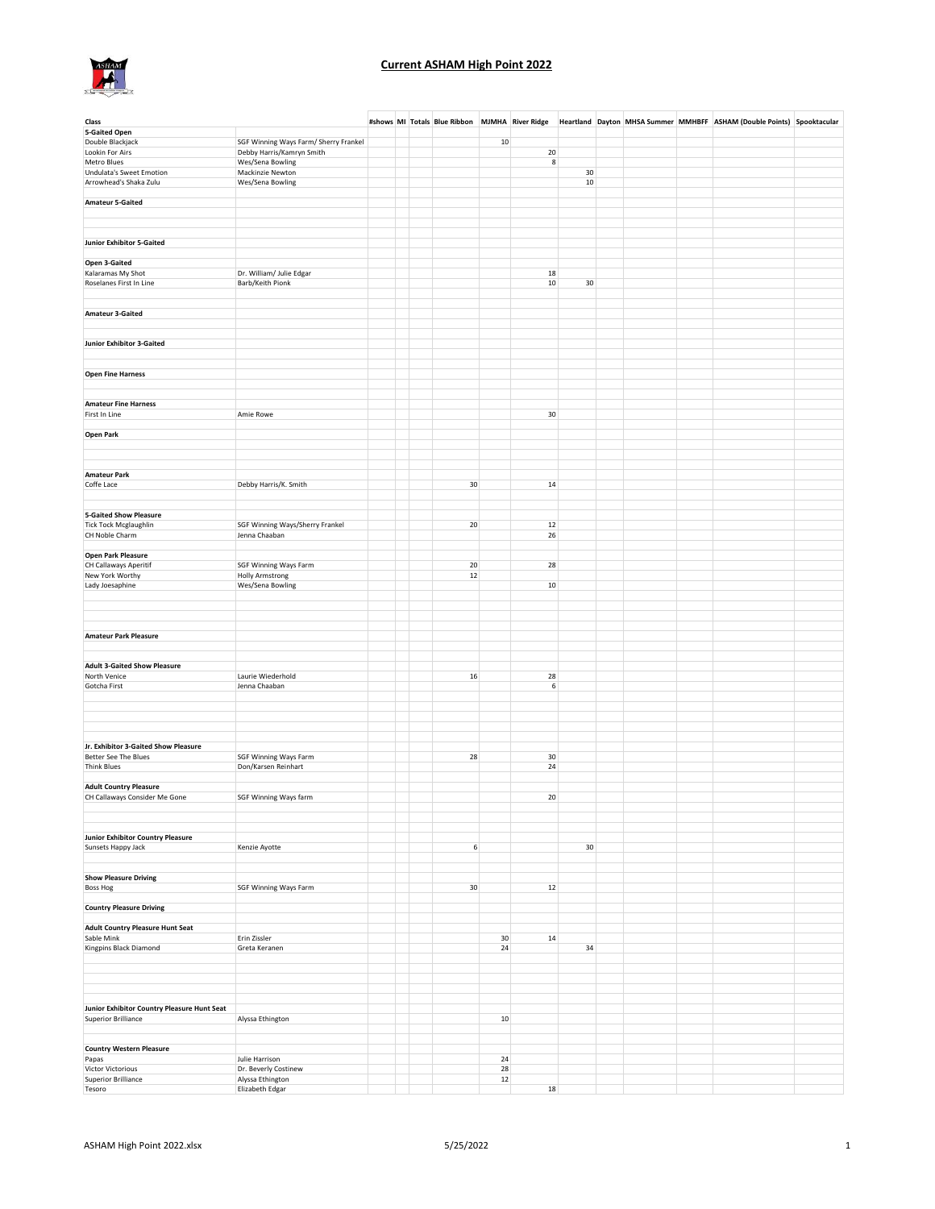

| Class                                       |                                              |  |        |        |          |    |  | #shows MI Totals Blue Ribbon MJMHA River Ridge Heartland Dayton MHSA Summer MMHBFF ASHAM (Double Points) Spooktacular |  |
|---------------------------------------------|----------------------------------------------|--|--------|--------|----------|----|--|-----------------------------------------------------------------------------------------------------------------------|--|
| <b>5-Gaited Open</b>                        |                                              |  |        |        |          |    |  |                                                                                                                       |  |
| Double Blackjack                            | SGF Winning Ways Farm/ Sherry Frankel        |  |        | 10     |          |    |  |                                                                                                                       |  |
| Lookin For Airs                             | Debby Harris/Kamryn Smith                    |  |        |        | 20       |    |  |                                                                                                                       |  |
| Metro Blues                                 | Wes/Sena Bowling                             |  |        |        | 8        |    |  |                                                                                                                       |  |
| <b>Undulata's Sweet Emotion</b>             | Mackinzie Newton                             |  |        |        |          | 30 |  |                                                                                                                       |  |
| Arrowhead's Shaka Zulu                      | Wes/Sena Bowling                             |  |        |        |          | 10 |  |                                                                                                                       |  |
|                                             |                                              |  |        |        |          |    |  |                                                                                                                       |  |
| <b>Amateur 5-Gaited</b>                     |                                              |  |        |        |          |    |  |                                                                                                                       |  |
|                                             |                                              |  |        |        |          |    |  |                                                                                                                       |  |
|                                             |                                              |  |        |        |          |    |  |                                                                                                                       |  |
|                                             |                                              |  |        |        |          |    |  |                                                                                                                       |  |
| <b>Junior Exhibitor 5-Gaited</b>            |                                              |  |        |        |          |    |  |                                                                                                                       |  |
|                                             |                                              |  |        |        |          |    |  |                                                                                                                       |  |
| Open 3-Gaited                               |                                              |  |        |        |          |    |  |                                                                                                                       |  |
| Kalaramas My Shot                           | Dr. William/ Julie Edgar                     |  |        |        | 18       |    |  |                                                                                                                       |  |
| Roselanes First In Line                     | Barb/Keith Pionk                             |  |        |        | 10       | 30 |  |                                                                                                                       |  |
|                                             |                                              |  |        |        |          |    |  |                                                                                                                       |  |
|                                             |                                              |  |        |        |          |    |  |                                                                                                                       |  |
| <b>Amateur 3-Gaited</b>                     |                                              |  |        |        |          |    |  |                                                                                                                       |  |
|                                             |                                              |  |        |        |          |    |  |                                                                                                                       |  |
|                                             |                                              |  |        |        |          |    |  |                                                                                                                       |  |
| <b>Junior Exhibitor 3-Gaited</b>            |                                              |  |        |        |          |    |  |                                                                                                                       |  |
|                                             |                                              |  |        |        |          |    |  |                                                                                                                       |  |
|                                             |                                              |  |        |        |          |    |  |                                                                                                                       |  |
| <b>Open Fine Harness</b>                    |                                              |  |        |        |          |    |  |                                                                                                                       |  |
|                                             |                                              |  |        |        |          |    |  |                                                                                                                       |  |
|                                             |                                              |  |        |        |          |    |  |                                                                                                                       |  |
| <b>Amateur Fine Harness</b>                 |                                              |  |        |        |          |    |  |                                                                                                                       |  |
| First In Line                               | Amie Rowe                                    |  |        |        | 30       |    |  |                                                                                                                       |  |
|                                             |                                              |  |        |        |          |    |  |                                                                                                                       |  |
| <b>Open Park</b>                            |                                              |  |        |        |          |    |  |                                                                                                                       |  |
|                                             |                                              |  |        |        |          |    |  |                                                                                                                       |  |
|                                             |                                              |  |        |        |          |    |  |                                                                                                                       |  |
|                                             |                                              |  |        |        |          |    |  |                                                                                                                       |  |
| <b>Amateur Park</b>                         |                                              |  |        |        |          |    |  |                                                                                                                       |  |
| Coffe Lace                                  | Debby Harris/K. Smith                        |  | 30     |        | 14       |    |  |                                                                                                                       |  |
|                                             |                                              |  |        |        |          |    |  |                                                                                                                       |  |
|                                             |                                              |  |        |        |          |    |  |                                                                                                                       |  |
| <b>5-Gaited Show Pleasure</b>               |                                              |  |        |        |          |    |  |                                                                                                                       |  |
| <b>Tick Tock Mcglaughlin</b>                | SGF Winning Ways/Sherry Frankel              |  | $20\,$ |        | 12       |    |  |                                                                                                                       |  |
| CH Noble Charm                              | Jenna Chaaban                                |  |        |        | 26       |    |  |                                                                                                                       |  |
|                                             |                                              |  |        |        |          |    |  |                                                                                                                       |  |
| Open Park Pleasure                          |                                              |  |        |        |          |    |  |                                                                                                                       |  |
| CH Callaways Aperitif                       | SGF Winning Ways Farm                        |  | 20     |        | 28       |    |  |                                                                                                                       |  |
| New York Worthy                             | <b>Holly Armstrong</b>                       |  | 12     |        |          |    |  |                                                                                                                       |  |
| Lady Joesaphine                             | Wes/Sena Bowling                             |  |        |        | 10       |    |  |                                                                                                                       |  |
|                                             |                                              |  |        |        |          |    |  |                                                                                                                       |  |
|                                             |                                              |  |        |        |          |    |  |                                                                                                                       |  |
|                                             |                                              |  |        |        |          |    |  |                                                                                                                       |  |
|                                             |                                              |  |        |        |          |    |  |                                                                                                                       |  |
| <b>Amateur Park Pleasure</b>                |                                              |  |        |        |          |    |  |                                                                                                                       |  |
|                                             |                                              |  |        |        |          |    |  |                                                                                                                       |  |
|                                             |                                              |  |        |        |          |    |  |                                                                                                                       |  |
| <b>Adult 3-Gaited Show Pleasure</b>         |                                              |  |        |        |          |    |  |                                                                                                                       |  |
| North Venice                                |                                              |  |        |        | 28       |    |  |                                                                                                                       |  |
| Gotcha First                                | Laurie Wiederhold<br>Jenna Chaaban           |  | 16     |        | 6        |    |  |                                                                                                                       |  |
|                                             |                                              |  |        |        |          |    |  |                                                                                                                       |  |
|                                             |                                              |  |        |        |          |    |  |                                                                                                                       |  |
|                                             |                                              |  |        |        |          |    |  |                                                                                                                       |  |
|                                             |                                              |  |        |        |          |    |  |                                                                                                                       |  |
|                                             |                                              |  |        |        |          |    |  |                                                                                                                       |  |
| Jr. Exhibitor 3-Gaited Show Pleasure        |                                              |  |        |        |          |    |  |                                                                                                                       |  |
|                                             |                                              |  |        |        |          |    |  |                                                                                                                       |  |
| Better See The Blues<br><b>Think Blues</b>  | SGF Winning Ways Farm<br>Don/Karsen Reinhart |  | 28     |        | 30<br>24 |    |  |                                                                                                                       |  |
|                                             |                                              |  |        |        |          |    |  |                                                                                                                       |  |
| <b>Adult Country Pleasure</b>               |                                              |  |        |        |          |    |  |                                                                                                                       |  |
|                                             |                                              |  |        |        | 20       |    |  |                                                                                                                       |  |
| CH Callaways Consider Me Gone               | SGF Winning Ways farm                        |  |        |        |          |    |  |                                                                                                                       |  |
|                                             |                                              |  |        |        |          |    |  |                                                                                                                       |  |
|                                             |                                              |  |        |        |          |    |  |                                                                                                                       |  |
| <b>Junior Exhibitor Country Pleasure</b>    |                                              |  |        |        |          |    |  |                                                                                                                       |  |
| Sunsets Happy Jack                          | Kenzie Ayotte                                |  | 6      |        |          | 30 |  |                                                                                                                       |  |
|                                             |                                              |  |        |        |          |    |  |                                                                                                                       |  |
|                                             |                                              |  |        |        |          |    |  |                                                                                                                       |  |
| <b>Show Pleasure Driving</b>                |                                              |  |        |        |          |    |  |                                                                                                                       |  |
| Boss Hog                                    | SGF Winning Ways Farm                        |  | 30     |        | 12       |    |  |                                                                                                                       |  |
|                                             |                                              |  |        |        |          |    |  |                                                                                                                       |  |
| <b>Country Pleasure Driving</b>             |                                              |  |        |        |          |    |  |                                                                                                                       |  |
|                                             |                                              |  |        |        |          |    |  |                                                                                                                       |  |
| <b>Adult Country Pleasure Hunt Seat</b>     |                                              |  |        |        |          |    |  |                                                                                                                       |  |
| Sable Mink                                  | Erin Zissler                                 |  |        | 30     | 14       |    |  |                                                                                                                       |  |
| Kingpins Black Diamond                      | Greta Keranen                                |  |        | 24     |          | 34 |  |                                                                                                                       |  |
|                                             |                                              |  |        |        |          |    |  |                                                                                                                       |  |
|                                             |                                              |  |        |        |          |    |  |                                                                                                                       |  |
|                                             |                                              |  |        |        |          |    |  |                                                                                                                       |  |
|                                             |                                              |  |        |        |          |    |  |                                                                                                                       |  |
|                                             |                                              |  |        |        |          |    |  |                                                                                                                       |  |
| Junior Exhibitor Country Pleasure Hunt Seat |                                              |  |        |        |          |    |  |                                                                                                                       |  |
| <b>Superior Brilliance</b>                  | Alyssa Ethington                             |  |        | $10\,$ |          |    |  |                                                                                                                       |  |
|                                             |                                              |  |        |        |          |    |  |                                                                                                                       |  |
|                                             |                                              |  |        |        |          |    |  |                                                                                                                       |  |
| <b>Country Western Pleasure</b>             |                                              |  |        |        |          |    |  |                                                                                                                       |  |
| Papas                                       | Julie Harrison                               |  |        | 24     |          |    |  |                                                                                                                       |  |
| Victor Victorious                           | Dr. Beverly Costinew                         |  |        | 28     |          |    |  |                                                                                                                       |  |
| <b>Superior Brilliance</b>                  | Alyssa Ethington                             |  |        | $12\,$ |          |    |  |                                                                                                                       |  |
| Tesoro                                      | Elizabeth Edgar                              |  |        |        | 18       |    |  |                                                                                                                       |  |